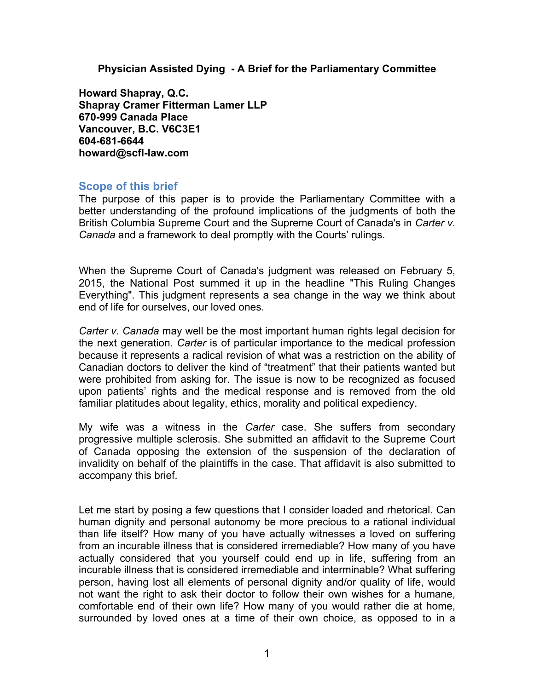**Physician Assisted Dying - A Brief for the Parliamentary Committee**

**Howard Shapray, Q.C. Shapray Cramer Fitterman Lamer LLP 670-999 Canada Place Vancouver, B.C. V6C3E1 604-681-6644 howard@scfl-law.com**

## **Scope of this brief**

The purpose of this paper is to provide the Parliamentary Committee with a better understanding of the profound implications of the judgments of both the British Columbia Supreme Court and the Supreme Court of Canada's in *Carter v. Canada* and a framework to deal promptly with the Courts' rulings.

When the Supreme Court of Canada's judgment was released on February 5, 2015, the National Post summed it up in the headline "This Ruling Changes Everything". This judgment represents a sea change in the way we think about end of life for ourselves, our loved ones.

*Carter v. Canada* may well be the most important human rights legal decision for the next generation. *Carter* is of particular importance to the medical profession because it represents a radical revision of what was a restriction on the ability of Canadian doctors to deliver the kind of "treatment" that their patients wanted but were prohibited from asking for. The issue is now to be recognized as focused upon patients' rights and the medical response and is removed from the old familiar platitudes about legality, ethics, morality and political expediency.

My wife was a witness in the *Carter* case. She suffers from secondary progressive multiple sclerosis. She submitted an affidavit to the Supreme Court of Canada opposing the extension of the suspension of the declaration of invalidity on behalf of the plaintiffs in the case. That affidavit is also submitted to accompany this brief.

Let me start by posing a few questions that I consider loaded and rhetorical. Can human dignity and personal autonomy be more precious to a rational individual than life itself? How many of you have actually witnesses a loved on suffering from an incurable illness that is considered irremediable? How many of you have actually considered that you yourself could end up in life, suffering from an incurable illness that is considered irremediable and interminable? What suffering person, having lost all elements of personal dignity and/or quality of life, would not want the right to ask their doctor to follow their own wishes for a humane, comfortable end of their own life? How many of you would rather die at home, surrounded by loved ones at a time of their own choice, as opposed to in a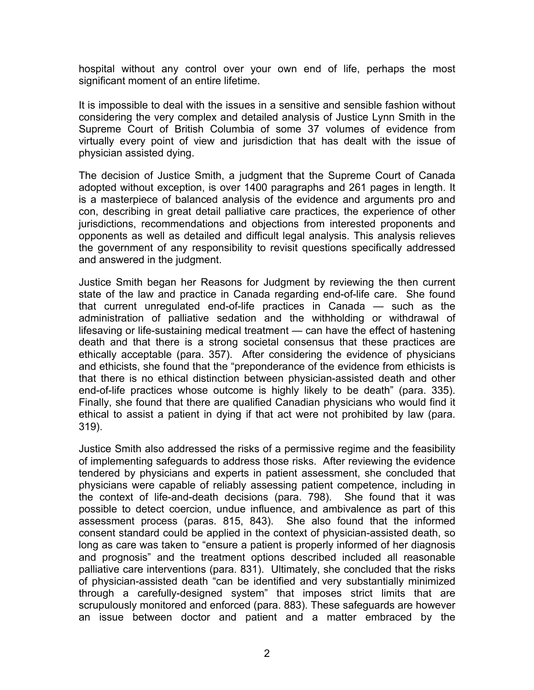hospital without any control over your own end of life, perhaps the most significant moment of an entire lifetime.

It is impossible to deal with the issues in a sensitive and sensible fashion without considering the very complex and detailed analysis of Justice Lynn Smith in the Supreme Court of British Columbia of some 37 volumes of evidence from virtually every point of view and jurisdiction that has dealt with the issue of physician assisted dying.

The decision of Justice Smith, a judgment that the Supreme Court of Canada adopted without exception, is over 1400 paragraphs and 261 pages in length. It is a masterpiece of balanced analysis of the evidence and arguments pro and con, describing in great detail palliative care practices, the experience of other jurisdictions, recommendations and objections from interested proponents and opponents as well as detailed and difficult legal analysis. This analysis relieves the government of any responsibility to revisit questions specifically addressed and answered in the judgment.

Justice Smith began her Reasons for Judgment by reviewing the then current state of the law and practice in Canada regarding end-of-life care. She found that current unregulated end-of-life practices in Canada — such as the administration of palliative sedation and the withholding or withdrawal of lifesaving or life-sustaining medical treatment — can have the effect of hastening death and that there is a strong societal consensus that these practices are ethically acceptable (para. 357). After considering the evidence of physicians and ethicists, she found that the "preponderance of the evidence from ethicists is that there is no ethical distinction between physician-assisted death and other end-of-life practices whose outcome is highly likely to be death" (para. 335). Finally, she found that there are qualified Canadian physicians who would find it ethical to assist a patient in dying if that act were not prohibited by law (para. 319).

Justice Smith also addressed the risks of a permissive regime and the feasibility of implementing safeguards to address those risks. After reviewing the evidence tendered by physicians and experts in patient assessment, she concluded that physicians were capable of reliably assessing patient competence, including in the context of life-and-death decisions (para. 798). She found that it was possible to detect coercion, undue influence, and ambivalence as part of this assessment process (paras. 815, 843). She also found that the informed consent standard could be applied in the context of physician-assisted death, so long as care was taken to "ensure a patient is properly informed of her diagnosis and prognosis" and the treatment options described included all reasonable palliative care interventions (para. 831). Ultimately, she concluded that the risks of physician-assisted death "can be identified and very substantially minimized through a carefully-designed system" that imposes strict limits that are scrupulously monitored and enforced (para. 883). These safeguards are however an issue between doctor and patient and a matter embraced by the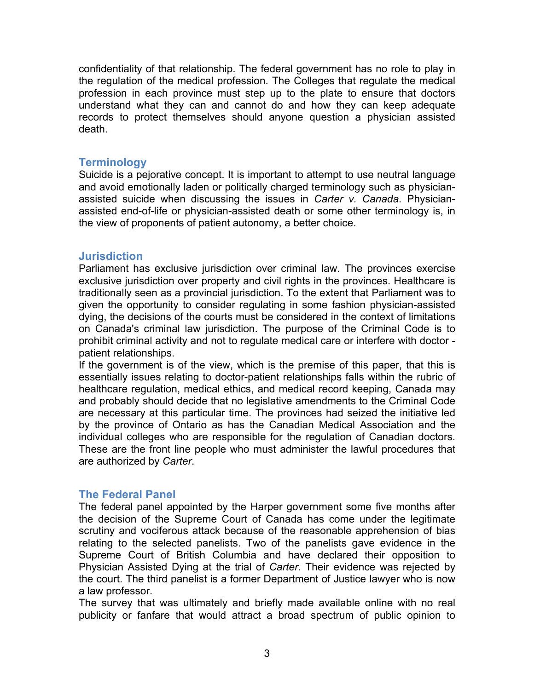confidentiality of that relationship. The federal government has no role to play in the regulation of the medical profession. The Colleges that regulate the medical profession in each province must step up to the plate to ensure that doctors understand what they can and cannot do and how they can keep adequate records to protect themselves should anyone question a physician assisted death.

### **Terminology**

Suicide is a pejorative concept. It is important to attempt to use neutral language and avoid emotionally laden or politically charged terminology such as physicianassisted suicide when discussing the issues in *Carter v. Canada*. Physicianassisted end-of-life or physician-assisted death or some other terminology is, in the view of proponents of patient autonomy, a better choice.

## **Jurisdiction**

Parliament has exclusive jurisdiction over criminal law. The provinces exercise exclusive jurisdiction over property and civil rights in the provinces. Healthcare is traditionally seen as a provincial jurisdiction. To the extent that Parliament was to given the opportunity to consider regulating in some fashion physician-assisted dying, the decisions of the courts must be considered in the context of limitations on Canada's criminal law jurisdiction. The purpose of the Criminal Code is to prohibit criminal activity and not to regulate medical care or interfere with doctor patient relationships.

If the government is of the view, which is the premise of this paper, that this is essentially issues relating to doctor-patient relationships falls within the rubric of healthcare regulation, medical ethics, and medical record keeping, Canada may and probably should decide that no legislative amendments to the Criminal Code are necessary at this particular time. The provinces had seized the initiative led by the province of Ontario as has the Canadian Medical Association and the individual colleges who are responsible for the regulation of Canadian doctors. These are the front line people who must administer the lawful procedures that are authorized by *Carter*.

### **The Federal Panel**

The federal panel appointed by the Harper government some five months after the decision of the Supreme Court of Canada has come under the legitimate scrutiny and vociferous attack because of the reasonable apprehension of bias relating to the selected panelists. Two of the panelists gave evidence in the Supreme Court of British Columbia and have declared their opposition to Physician Assisted Dying at the trial of *Carter*. Their evidence was rejected by the court. The third panelist is a former Department of Justice lawyer who is now a law professor.

The survey that was ultimately and briefly made available online with no real publicity or fanfare that would attract a broad spectrum of public opinion to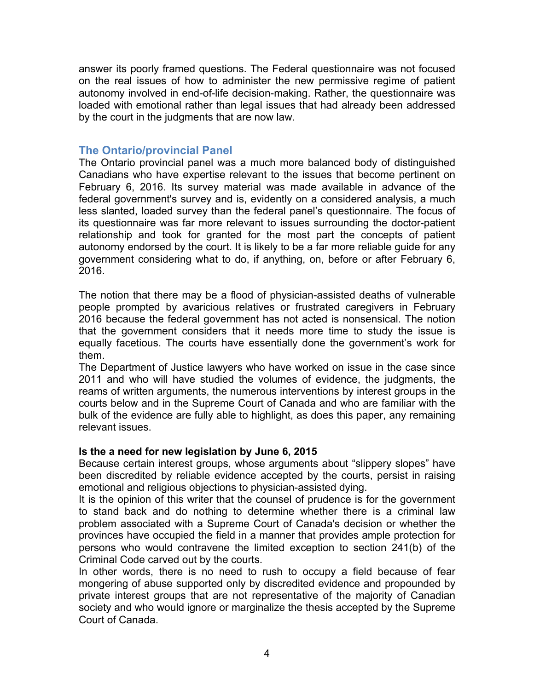answer its poorly framed questions. The Federal questionnaire was not focused on the real issues of how to administer the new permissive regime of patient autonomy involved in end-of-life decision-making. Rather, the questionnaire was loaded with emotional rather than legal issues that had already been addressed by the court in the judgments that are now law.

# **The Ontario/provincial Panel**

The Ontario provincial panel was a much more balanced body of distinguished Canadians who have expertise relevant to the issues that become pertinent on February 6, 2016. Its survey material was made available in advance of the federal government's survey and is, evidently on a considered analysis, a much less slanted, loaded survey than the federal panel's questionnaire. The focus of its questionnaire was far more relevant to issues surrounding the doctor-patient relationship and took for granted for the most part the concepts of patient autonomy endorsed by the court. It is likely to be a far more reliable guide for any government considering what to do, if anything, on, before or after February 6, 2016.

The notion that there may be a flood of physician-assisted deaths of vulnerable people prompted by avaricious relatives or frustrated caregivers in February 2016 because the federal government has not acted is nonsensical. The notion that the government considers that it needs more time to study the issue is equally facetious. The courts have essentially done the government's work for them.

The Department of Justice lawyers who have worked on issue in the case since 2011 and who will have studied the volumes of evidence, the judgments, the reams of written arguments, the numerous interventions by interest groups in the courts below and in the Supreme Court of Canada and who are familiar with the bulk of the evidence are fully able to highlight, as does this paper, any remaining relevant issues.

### **Is the a need for new legislation by June 6, 2015**

Because certain interest groups, whose arguments about "slippery slopes" have been discredited by reliable evidence accepted by the courts, persist in raising emotional and religious objections to physician-assisted dying.

It is the opinion of this writer that the counsel of prudence is for the government to stand back and do nothing to determine whether there is a criminal law problem associated with a Supreme Court of Canada's decision or whether the provinces have occupied the field in a manner that provides ample protection for persons who would contravene the limited exception to section 241(b) of the Criminal Code carved out by the courts.

In other words, there is no need to rush to occupy a field because of fear mongering of abuse supported only by discredited evidence and propounded by private interest groups that are not representative of the majority of Canadian society and who would ignore or marginalize the thesis accepted by the Supreme Court of Canada.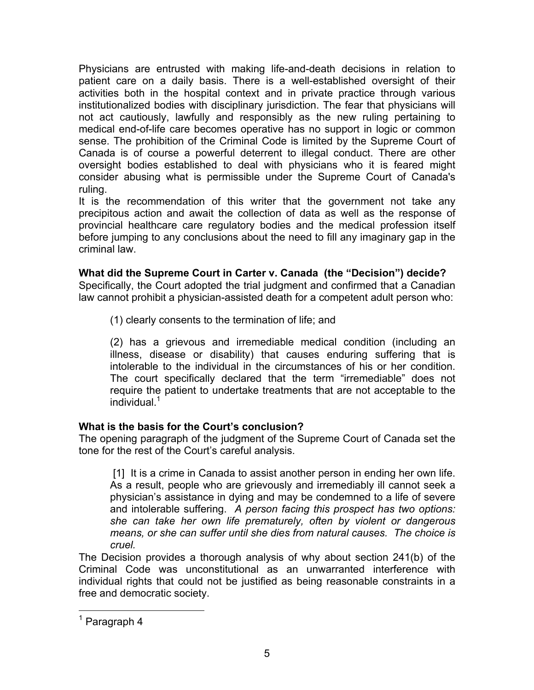Physicians are entrusted with making life-and-death decisions in relation to patient care on a daily basis. There is a well-established oversight of their activities both in the hospital context and in private practice through various institutionalized bodies with disciplinary jurisdiction. The fear that physicians will not act cautiously, lawfully and responsibly as the new ruling pertaining to medical end-of-life care becomes operative has no support in logic or common sense. The prohibition of the Criminal Code is limited by the Supreme Court of Canada is of course a powerful deterrent to illegal conduct. There are other oversight bodies established to deal with physicians who it is feared might consider abusing what is permissible under the Supreme Court of Canada's ruling.

It is the recommendation of this writer that the government not take any precipitous action and await the collection of data as well as the response of provincial healthcare care regulatory bodies and the medical profession itself before jumping to any conclusions about the need to fill any imaginary gap in the criminal law.

# **What did the Supreme Court in Carter v. Canada (the "Decision") decide?**

Specifically, the Court adopted the trial judgment and confirmed that a Canadian law cannot prohibit a physician-assisted death for a competent adult person who:

(1) clearly consents to the termination of life; and

(2) has a grievous and irremediable medical condition (including an illness, disease or disability) that causes enduring suffering that is intolerable to the individual in the circumstances of his or her condition. The court specifically declared that the term "irremediable" does not require the patient to undertake treatments that are not acceptable to the individual.<sup>1</sup>

# **What is the basis for the Court's conclusion?**

The opening paragraph of the judgment of the Supreme Court of Canada set the tone for the rest of the Court's careful analysis.

[1] It is a crime in Canada to assist another person in ending her own life. As a result, people who are grievously and irremediably ill cannot seek a physician's assistance in dying and may be condemned to a life of severe and intolerable suffering. *A person facing this prospect has two options: she can take her own life prematurely, often by violent or dangerous means, or she can suffer until she dies from natural causes. The choice is cruel.*

The Decision provides a thorough analysis of why about section 241(b) of the Criminal Code was unconstitutional as an unwarranted interference with individual rights that could not be justified as being reasonable constraints in a free and democratic society.

 $<sup>1</sup>$  Paragraph 4</sup>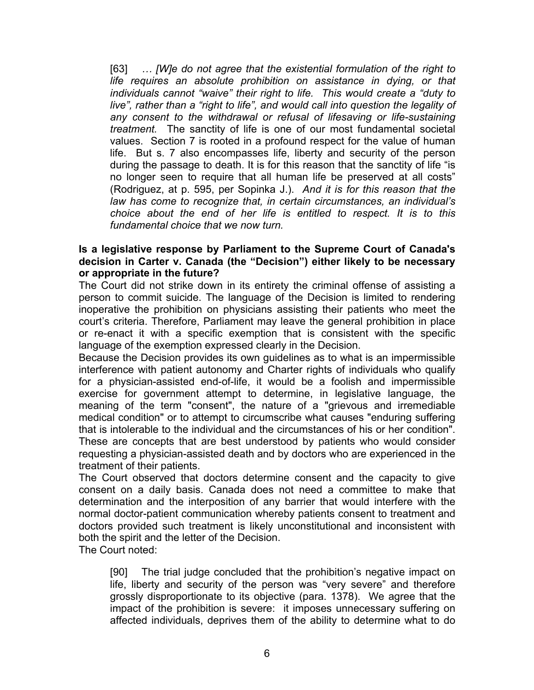[63] *… [W]e do not agree that the existential formulation of the right to life requires an absolute prohibition on assistance in dying, or that individuals cannot "waive" their right to life. This would create a "duty to live", rather than a "right to life", and would call into question the legality of any consent to the withdrawal or refusal of lifesaving or life-sustaining treatment.* The sanctity of life is one of our most fundamental societal values. Section 7 is rooted in a profound respect for the value of human life. But s. 7 also encompasses life, liberty and security of the person during the passage to death. It is for this reason that the sanctity of life "is no longer seen to require that all human life be preserved at all costs" (Rodriguez, at p. 595, per Sopinka J.). *And it is for this reason that the law has come to recognize that, in certain circumstances, an individual's choice about the end of her life is entitled to respect. It is to this fundamental choice that we now turn.*

### **Is a legislative response by Parliament to the Supreme Court of Canada's decision in Carter v. Canada (the "Decision") either likely to be necessary or appropriate in the future?**

The Court did not strike down in its entirety the criminal offense of assisting a person to commit suicide. The language of the Decision is limited to rendering inoperative the prohibition on physicians assisting their patients who meet the court's criteria. Therefore, Parliament may leave the general prohibition in place or re-enact it with a specific exemption that is consistent with the specific language of the exemption expressed clearly in the Decision.

Because the Decision provides its own guidelines as to what is an impermissible interference with patient autonomy and Charter rights of individuals who qualify for a physician-assisted end-of-life, it would be a foolish and impermissible exercise for government attempt to determine, in legislative language, the meaning of the term "consent", the nature of a "grievous and irremediable medical condition" or to attempt to circumscribe what causes "enduring suffering that is intolerable to the individual and the circumstances of his or her condition". These are concepts that are best understood by patients who would consider requesting a physician-assisted death and by doctors who are experienced in the treatment of their patients.

The Court observed that doctors determine consent and the capacity to give consent on a daily basis. Canada does not need a committee to make that determination and the interposition of any barrier that would interfere with the normal doctor-patient communication whereby patients consent to treatment and doctors provided such treatment is likely unconstitutional and inconsistent with both the spirit and the letter of the Decision.

The Court noted:

[90] The trial judge concluded that the prohibition's negative impact on life, liberty and security of the person was "very severe" and therefore grossly disproportionate to its objective (para. 1378). We agree that the impact of the prohibition is severe: it imposes unnecessary suffering on affected individuals, deprives them of the ability to determine what to do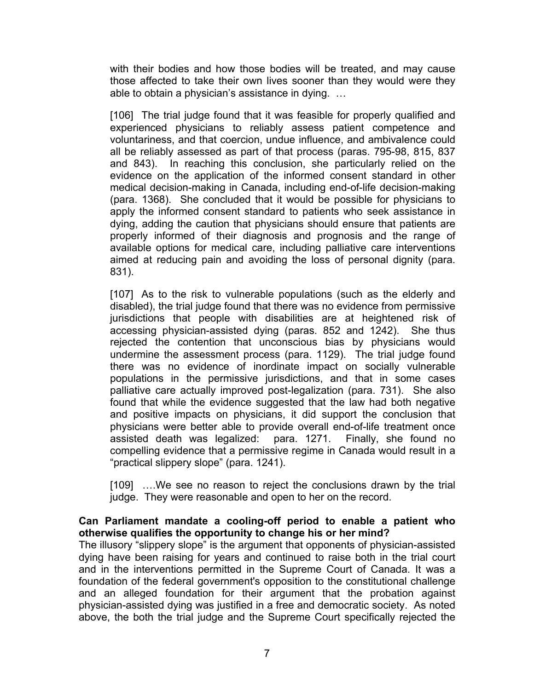with their bodies and how those bodies will be treated, and may cause those affected to take their own lives sooner than they would were they able to obtain a physician's assistance in dying. …

[106] The trial judge found that it was feasible for properly qualified and experienced physicians to reliably assess patient competence and voluntariness, and that coercion, undue influence, and ambivalence could all be reliably assessed as part of that process (paras. 795-98, 815, 837 and 843). In reaching this conclusion, she particularly relied on the evidence on the application of the informed consent standard in other medical decision-making in Canada, including end-of-life decision-making (para. 1368). She concluded that it would be possible for physicians to apply the informed consent standard to patients who seek assistance in dying, adding the caution that physicians should ensure that patients are properly informed of their diagnosis and prognosis and the range of available options for medical care, including palliative care interventions aimed at reducing pain and avoiding the loss of personal dignity (para. 831).

[107] As to the risk to vulnerable populations (such as the elderly and disabled), the trial judge found that there was no evidence from permissive jurisdictions that people with disabilities are at heightened risk of accessing physician-assisted dying (paras. 852 and 1242). She thus rejected the contention that unconscious bias by physicians would undermine the assessment process (para. 1129). The trial judge found there was no evidence of inordinate impact on socially vulnerable populations in the permissive jurisdictions, and that in some cases palliative care actually improved post-legalization (para. 731). She also found that while the evidence suggested that the law had both negative and positive impacts on physicians, it did support the conclusion that physicians were better able to provide overall end-of-life treatment once assisted death was legalized: para. 1271. Finally, she found no compelling evidence that a permissive regime in Canada would result in a "practical slippery slope" (para. 1241).

[109] ….We see no reason to reject the conclusions drawn by the trial judge. They were reasonable and open to her on the record.

## **Can Parliament mandate a cooling-off period to enable a patient who otherwise qualifies the opportunity to change his or her mind?**

The illusory "slippery slope" is the argument that opponents of physician-assisted dying have been raising for years and continued to raise both in the trial court and in the interventions permitted in the Supreme Court of Canada. It was a foundation of the federal government's opposition to the constitutional challenge and an alleged foundation for their argument that the probation against physician-assisted dying was justified in a free and democratic society. As noted above, the both the trial judge and the Supreme Court specifically rejected the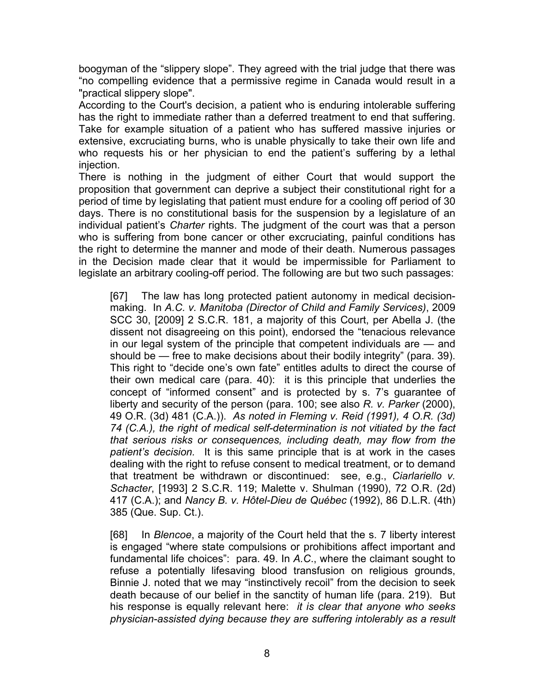boogyman of the "slippery slope". They agreed with the trial judge that there was "no compelling evidence that a permissive regime in Canada would result in a "practical slippery slope".

According to the Court's decision, a patient who is enduring intolerable suffering has the right to immediate rather than a deferred treatment to end that suffering. Take for example situation of a patient who has suffered massive injuries or extensive, excruciating burns, who is unable physically to take their own life and who requests his or her physician to end the patient's suffering by a lethal injection.

There is nothing in the judgment of either Court that would support the proposition that government can deprive a subject their constitutional right for a period of time by legislating that patient must endure for a cooling off period of 30 days. There is no constitutional basis for the suspension by a legislature of an individual patient's *Charter* rights. The judgment of the court was that a person who is suffering from bone cancer or other excruciating, painful conditions has the right to determine the manner and mode of their death. Numerous passages in the Decision made clear that it would be impermissible for Parliament to legislate an arbitrary cooling-off period. The following are but two such passages:

[67] The law has long protected patient autonomy in medical decisionmaking. In *A.C. v. Manitoba (Director of Child and Family Services)*, 2009 SCC 30, [2009] 2 S.C.R. 181, a majority of this Court, per Abella J. (the dissent not disagreeing on this point), endorsed the "tenacious relevance in our legal system of the principle that competent individuals are — and should be — free to make decisions about their bodily integrity" (para. 39). This right to "decide one's own fate" entitles adults to direct the course of their own medical care (para. 40): it is this principle that underlies the concept of "informed consent" and is protected by s. 7's guarantee of liberty and security of the person (para. 100; see also *R. v. Parker* (2000), 49 O.R. (3d) 481 (C.A.)). *As noted in Fleming v. Reid (1991), 4 O.R. (3d) 74 (C.A.), the right of medical self-determination is not vitiated by the fact that serious risks or consequences, including death, may flow from the patient's decision.* It is this same principle that is at work in the cases dealing with the right to refuse consent to medical treatment, or to demand that treatment be withdrawn or discontinued: see, e.g., *Ciarlariello v. Schacter*, [1993] 2 S.C.R. 119; Malette v. Shulman (1990), 72 O.R. (2d) 417 (C.A.); and *Nancy B. v. Hôtel-Dieu de Québec* (1992), 86 D.L.R. (4th) 385 (Que. Sup. Ct.).

[68] In *Blencoe*, a majority of the Court held that the s. 7 liberty interest is engaged "where state compulsions or prohibitions affect important and fundamental life choices": para. 49. In *A.C*., where the claimant sought to refuse a potentially lifesaving blood transfusion on religious grounds, Binnie J. noted that we may "instinctively recoil" from the decision to seek death because of our belief in the sanctity of human life (para. 219). But his response is equally relevant here: *it is clear that anyone who seeks physician-assisted dying because they are suffering intolerably as a result*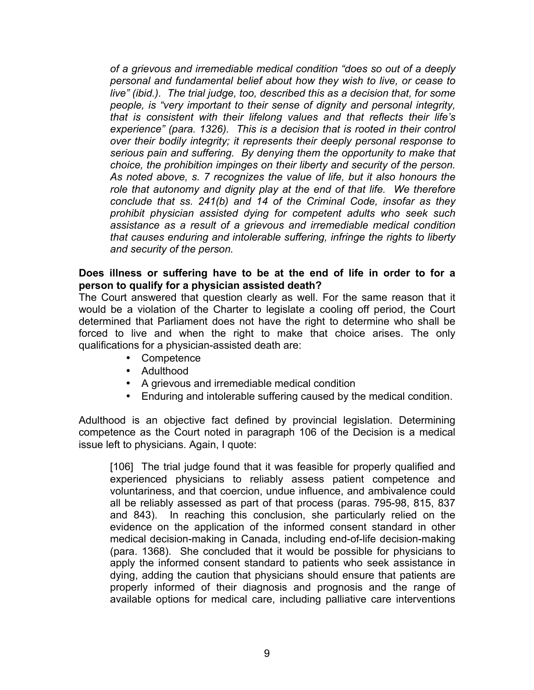*of a grievous and irremediable medical condition "does so out of a deeply personal and fundamental belief about how they wish to live, or cease to live" (ibid.). The trial judge, too, described this as a decision that, for some people, is "very important to their sense of dignity and personal integrity, that is consistent with their lifelong values and that reflects their life's experience" (para. 1326). This is a decision that is rooted in their control over their bodily integrity; it represents their deeply personal response to serious pain and suffering. By denying them the opportunity to make that choice, the prohibition impinges on their liberty and security of the person. As noted above, s. 7 recognizes the value of life, but it also honours the role that autonomy and dignity play at the end of that life. We therefore conclude that ss. 241(b) and 14 of the Criminal Code, insofar as they prohibit physician assisted dying for competent adults who seek such assistance as a result of a grievous and irremediable medical condition that causes enduring and intolerable suffering, infringe the rights to liberty and security of the person.*

#### **Does illness or suffering have to be at the end of life in order to for a person to qualify for a physician assisted death?**

The Court answered that question clearly as well. For the same reason that it would be a violation of the Charter to legislate a cooling off period, the Court determined that Parliament does not have the right to determine who shall be forced to live and when the right to make that choice arises. The only qualifications for a physician-assisted death are:

- Competence
- Adulthood
- A grievous and irremediable medical condition
- Enduring and intolerable suffering caused by the medical condition.

Adulthood is an objective fact defined by provincial legislation. Determining competence as the Court noted in paragraph 106 of the Decision is a medical issue left to physicians. Again, I quote:

[106] The trial judge found that it was feasible for properly qualified and experienced physicians to reliably assess patient competence and voluntariness, and that coercion, undue influence, and ambivalence could all be reliably assessed as part of that process (paras. 795-98, 815, 837 and 843). In reaching this conclusion, she particularly relied on the evidence on the application of the informed consent standard in other medical decision-making in Canada, including end-of-life decision-making (para. 1368). She concluded that it would be possible for physicians to apply the informed consent standard to patients who seek assistance in dying, adding the caution that physicians should ensure that patients are properly informed of their diagnosis and prognosis and the range of available options for medical care, including palliative care interventions